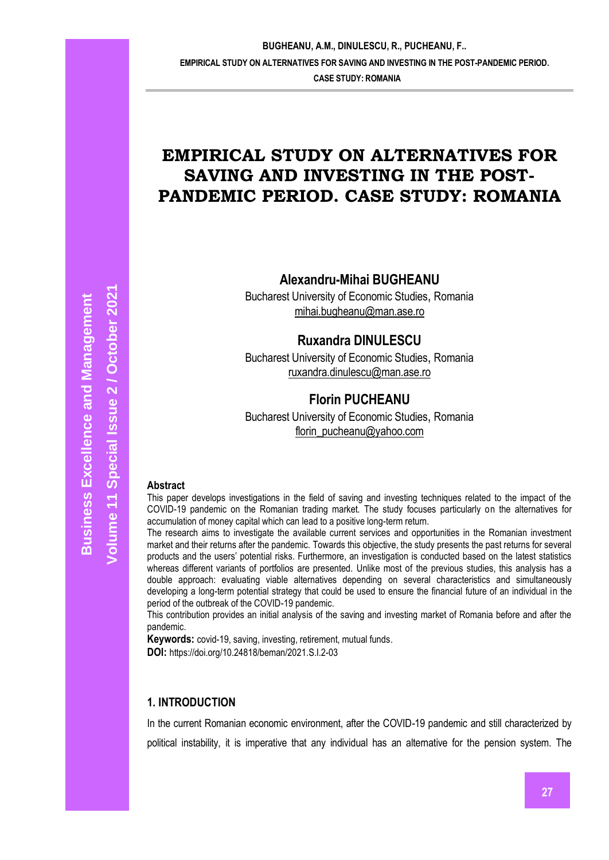**CASE STUDY: ROMANIA**

# **EMPIRICAL STUDY ON ALTERNATIVES FOR SAVING AND INVESTING IN THE POST-PANDEMIC PERIOD. CASE STUDY: ROMANIA**

**Alexandru-Mihai BUGHEANU**

Bucharest University of Economic Studies, Romania [mihai.bugheanu@man.ase.ro](mailto:mihai.bugheanu@man.ase.ro)

# **Ruxandra DINULESCU**

Bucharest University of Economic Studies, Romania [ruxandra.dinulescu@man.ase.ro](mailto:ruxandra.dinulescu@man.ase.ro)

# **Florin PUCHEANU**

Bucharest University of Economic Studies, Romania [florin\\_pucheanu@yahoo.com](mailto:florin_pucheanu@yahoo.com)

#### **Abstract**

This paper develops investigations in the field of saving and investing techniques related to the impact of the COVID-19 pandemic on the Romanian trading market. The study focuses particularly on the alternatives for accumulation of money capital which can lead to a positive long-term return.

The research aims to investigate the available current services and opportunities in the Romanian investment market and their returns after the pandemic. Towards this objective, the study presents the past returns for several products and the users' potential risks. Furthermore, an investigation is conducted based on the latest statistics whereas different variants of portfolios are presented. Unlike most of the previous studies, this analysis has a double approach: evaluating viable alternatives depending on several characteristics and simultaneously developing a long-term potential strategy that could be used to ensure the financial future of an individual in the period of the outbreak of the COVID-19 pandemic.

This contribution provides an initial analysis of the saving and investing market of Romania before and after the pandemic.

**Keywords:** covid-19, saving, investing, retirement, mutual funds.

**DOI:** https://doi.org/10.24818/beman/2021.S.I.2-03

# **1. INTRODUCTION**

In the current Romanian economic environment, after the COVID-19 pandemic and still characterized by political instability, it is imperative that any individual has an alternative for the pension system. The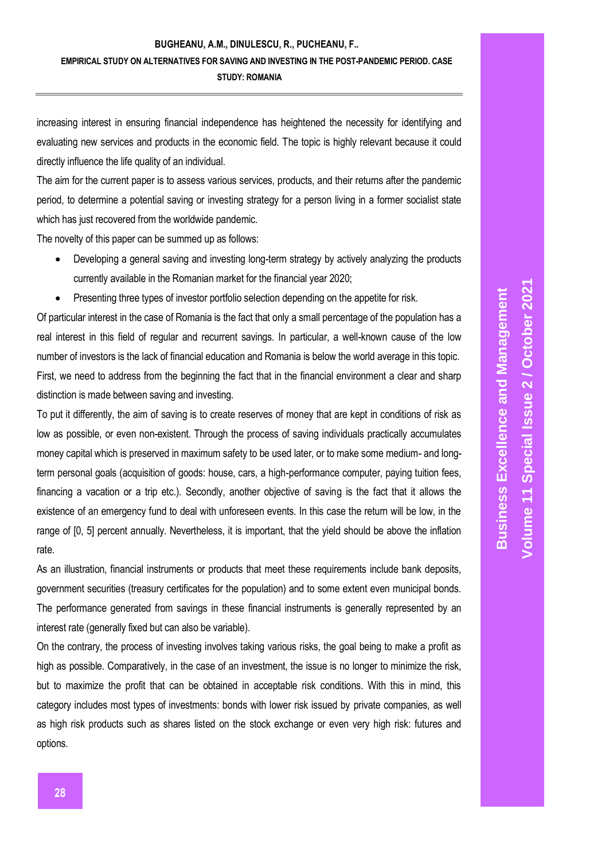increasing interest in ensuring financial independence has heightened the necessity for identifying and evaluating new services and products in the economic field. The topic is highly relevant because it could directly influence the life quality of an individual.

The aim for the current paper is to assess various services, products, and their returns after the pandemic period, to determine a potential saving or investing strategy for a person living in a former socialist state which has just recovered from the worldwide pandemic.

The novelty of this paper can be summed up as follows:

- Developing a general saving and investing long-term strategy by actively analyzing the products currently available in the Romanian market for the financial year 2020;
- Presenting three types of investor portfolio selection depending on the appetite for risk.

Of particular interest in the case of Romania is the fact that only a small percentage of the population has a real interest in this field of regular and recurrent savings. In particular, a well-known cause of the low number of investors is the lack of financial education and Romania is below the world average in this topic. First, we need to address from the beginning the fact that in the financial environment a clear and sharp distinction is made between saving and investing.

To put it differently, the aim of saving is to create reserves of money that are kept in conditions of risk as low as possible, or even non-existent. Through the process of saving individuals practically accumulates money capital which is preserved in maximum safety to be used later, or to make some medium- and longterm personal goals (acquisition of goods: house, cars, a high-performance computer, paying tuition fees, financing a vacation or a trip etc.). Secondly, another objective of saving is the fact that it allows the existence of an emergency fund to deal with unforeseen events. In this case the return will be low, in the range of [0, 5] percent annually. Nevertheless, it is important, that the yield should be above the inflation rate.

As an illustration, financial instruments or products that meet these requirements include bank deposits, government securities (treasury certificates for the population) and to some extent even municipal bonds. The performance generated from savings in these financial instruments is generally represented by an interest rate (generally fixed but can also be variable).

On the contrary, the process of investing involves taking various risks, the goal being to make a profit as high as possible. Comparatively, in the case of an investment, the issue is no longer to minimize the risk, but to maximize the profit that can be obtained in acceptable risk conditions. With this in mind, this category includes most types of investments: bonds with lower risk issued by private companies, as well as high risk products such as shares listed on the stock exchange or even very high risk: futures and options.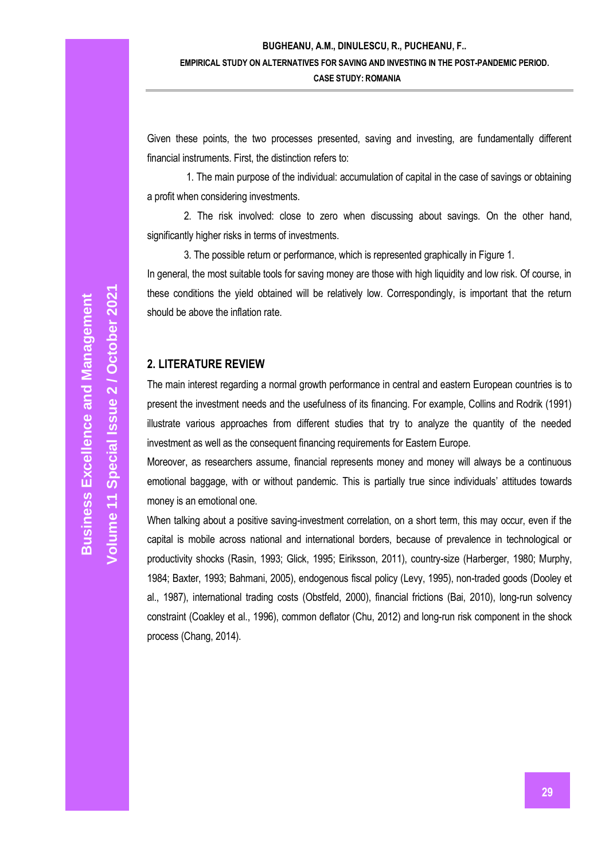Given these points, the two processes presented, saving and investing, are fundamentally different financial instruments. First, the distinction refers to:

1. The main purpose of the individual: accumulation of capital in the case of savings or obtaining a profit when considering investments.

2. The risk involved: close to zero when discussing about savings. On the other hand, significantly higher risks in terms of investments.

3. The possible return or performance, which is represented graphically in Figure 1. In general, the most suitable tools for saving money are those with high liquidity and low risk. Of course, in these conditions the yield obtained will be relatively low. Correspondingly, is important that the return should be above the inflation rate.

# **2. LITERATURE REVIEW**

The main interest regarding a normal growth performance in central and eastern European countries is to present the investment needs and the usefulness of its financing. For example, Collins and Rodrik (1991) illustrate various approaches from different studies that try to analyze the quantity of the needed investment as well as the consequent financing requirements for Eastern Europe.

Moreover, as researchers assume, financial represents money and money will always be a continuous emotional baggage, with or without pandemic. This is partially true since individuals' attitudes towards money is an emotional one.

When talking about a positive saving-investment correlation, on a short term, this may occur, even if the capital is mobile across national and international borders, because of prevalence in technological or productivity shocks (Rasin, 1993; Glick, 1995; Eiriksson, 2011), country-size (Harberger, 1980; Murphy, 1984; Baxter, 1993; Bahmani, 2005), endogenous fiscal policy (Levy, 1995), non-traded goods (Dooley et al., 1987), international trading costs (Obstfeld, 2000), financial frictions (Bai, 2010), long-run solvency constraint (Coakley et al., 1996), common deflator (Chu, 2012) and long-run risk component in the shock process (Chang, 2014).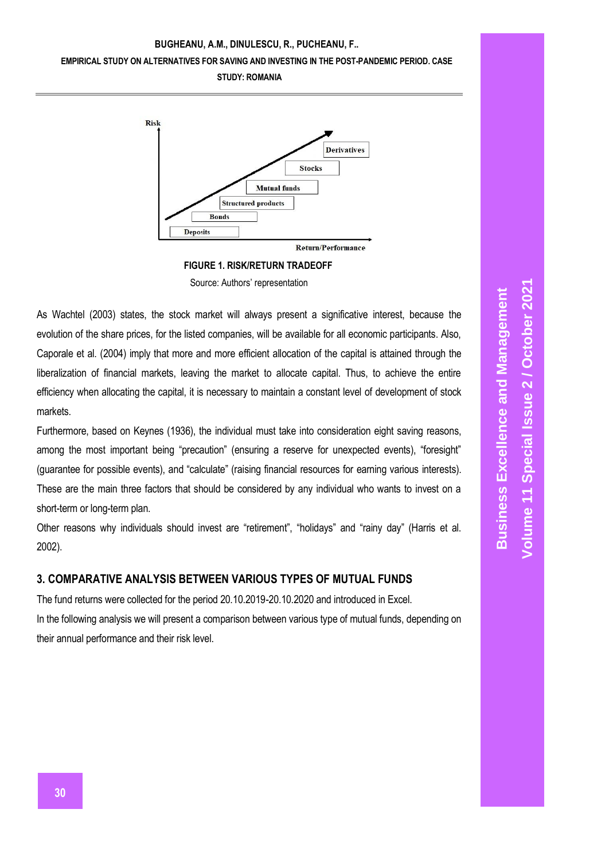

**FIGURE 1. RISK/RETURN TRADEOFF**

Source: Authors' representation

As Wachtel (2003) states, the stock market will always present a significative interest, because the evolution of the share prices, for the listed companies, will be available for all economic participants. Also, Caporale et al. (2004) imply that more and more efficient allocation of the capital is attained through the liberalization of financial markets, leaving the market to allocate capital. Thus, to achieve the entire efficiency when allocating the capital, it is necessary to maintain a constant level of development of stock markets.

Furthermore, based on Keynes (1936), the individual must take into consideration eight saving reasons, among the most important being "precaution" (ensuring a reserve for unexpected events), "foresight" (guarantee for possible events), and "calculate" (raising financial resources for earning various interests). These are the main three factors that should be considered by any individual who wants to invest on a short-term or long-term plan.

Other reasons why individuals should invest are "retirement", "holidays" and "rainy day" (Harris et al. 2002).

# **3. COMPARATIVE ANALYSIS BETWEEN VARIOUS TYPES OF MUTUAL FUNDS**

The fund returns were collected for the period 20.10.2019-20.10.2020 and introduced in Excel. In the following analysis we will present a comparison between various type of mutual funds, depending on their annual performance and their risk level.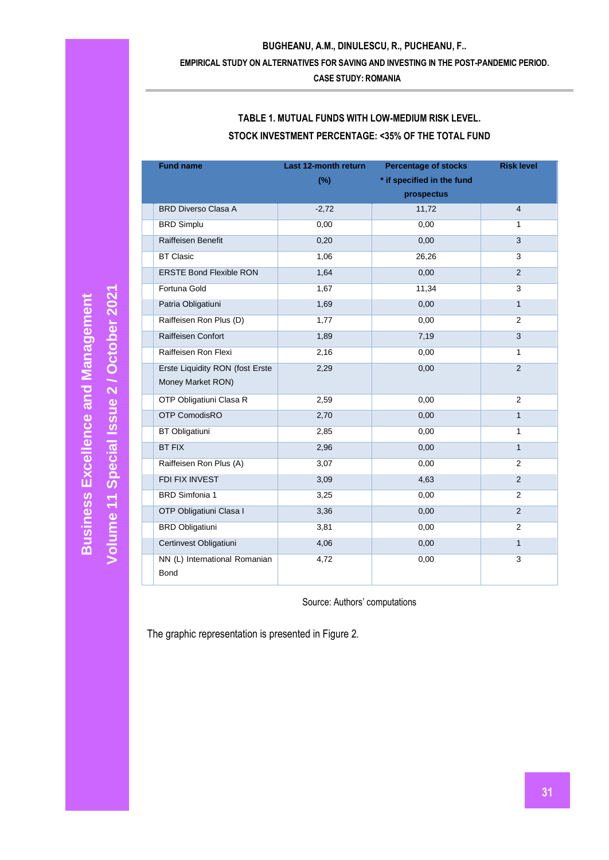### **EMPIRICAL STUDY ON ALTERNATIVES FOR SAVING AND INVESTING IN THE POST-PANDEMIC PERIOD.**

**CASE STUDY: ROMANIA**

| <b>Fund name</b>                | Last 12-month return | <b>Percentage of stocks</b> | <b>Risk level</b> |
|---------------------------------|----------------------|-----------------------------|-------------------|
|                                 | $(\%)$               | * if specified in the fund  |                   |
|                                 |                      | prospectus                  |                   |
| <b>BRD Diverso Clasa A</b>      | $-2,72$              | 11,72                       | $\overline{4}$    |
| <b>BRD Simplu</b>               | 0,00                 | 0,00                        | 1                 |
| <b>Raiffeisen Benefit</b>       | 0,20                 | 0,00                        | 3                 |
| <b>BT Clasic</b>                | 1,06                 | 26,26                       | 3                 |
| <b>ERSTE Bond Flexible RON</b>  | 1,64                 | 0,00                        | $\overline{2}$    |
| Fortuna Gold                    | 1,67                 | 11,34                       | 3                 |
| Patria Obligatiuni              | 1,69                 | 0,00                        | $\mathbf{1}$      |
| Raiffeisen Ron Plus (D)         | 1,77                 | 0,00                        | $\overline{2}$    |
| Raiffeisen Confort              | 1,89                 | 7,19                        | 3                 |
| Raiffeisen Ron Flexi            | 2,16                 | 0,00                        | $\mathbf{1}$      |
| Erste Liquidity RON (fost Erste | 2,29                 | 0,00                        | 2                 |
| Money Market RON)               |                      |                             |                   |
| OTP Obligatiuni Clasa R         | 2,59                 | 0,00                        | $\overline{2}$    |
| <b>OTP ComodisRO</b>            | 2,70                 | 0,00                        | $\mathbf{1}$      |
| <b>BT Obligatiuni</b>           | 2,85                 | 0,00                        | 1                 |
| <b>BT FIX</b>                   | 2,96                 | 0,00                        | $\mathbf{1}$      |
| Raiffeisen Ron Plus (A)         | 3,07                 | 0,00                        | $\overline{2}$    |
| FDI FIX INVEST                  | 3,09                 | 4,63                        | $\overline{2}$    |
| <b>BRD Simfonia 1</b>           | 3,25                 | 0,00                        | 2                 |
| OTP Obligatiuni Clasa I         | 3,36                 | 0,00                        | $\overline{2}$    |
| <b>BRD Obligatiuni</b>          | 3,81                 | 0,00                        | $\overline{2}$    |
| Certinvest Obligatiuni          | 4,06                 | 0,00                        | $\mathbf{1}$      |
| NN (L) International Romanian   | 4,72                 | 0,00                        | 3                 |
| <b>Bond</b>                     |                      |                             |                   |

# **TABLE 1. MUTUAL FUNDS WITH LOW-MEDIUM RISK LEVEL. STOCK INVESTMENT PERCENTAGE: <35% OF THE TOTAL FUND**

Source: Authors' computations

The graphic representation is presented in Figure 2.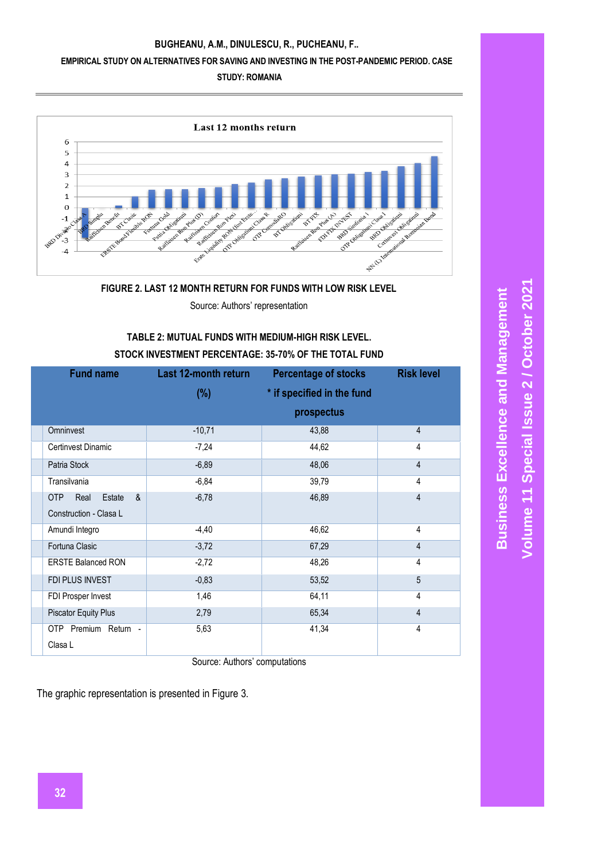#### **EMPIRICAL STUDY ON ALTERNATIVES FOR SAVING AND INVESTING IN THE POST-PANDEMIC PERIOD. CASE**

#### **STUDY: ROMANIA**



#### **FIGURE 2. LAST 12 MONTH RETURN FOR FUNDS WITH LOW RISK LEVEL**

Source: Authors' representation

# **TABLE 2: MUTUAL FUNDS WITH MEDIUM-HIGH RISK LEVEL.**

#### **STOCK INVESTMENT PERCENTAGE: 35-70% OF THE TOTAL FUND**

| <b>Fund name</b>            | <b>Last 12-month return</b> | <b>Percentage of stocks</b> | <b>Risk level</b> |
|-----------------------------|-----------------------------|-----------------------------|-------------------|
|                             | $(\%)$                      | * if specified in the fund  |                   |
|                             |                             | prospectus                  |                   |
| Omninvest                   | $-10,71$                    | 43,88                       | 4                 |
| Certinvest Dinamic          | $-7,24$                     | 44,62                       | 4                 |
| Patria Stock                | $-6,89$                     | 48,06                       | 4                 |
| Transilvania                | $-6,84$                     | 39,79                       | 4                 |
| &<br>OTP<br>Real<br>Estate  | $-6,78$                     | 46,89                       | 4                 |
| Construction - Clasa L      |                             |                             |                   |
| Amundi Integro              | $-4,40$                     | 46,62                       | 4                 |
| Fortuna Clasic              | $-3,72$                     | 67,29                       | $\overline{4}$    |
| <b>ERSTE Balanced RON</b>   | $-2,72$                     | 48,26                       | 4                 |
| FDI PLUS INVEST             | $-0,83$                     | 53,52                       | 5                 |
| FDI Prosper Invest          | 1,46                        | 64,11                       | 4                 |
| <b>Piscator Equity Plus</b> | 2,79                        | 65,34                       | 4                 |
| OTP Premium Return -        | 5,63                        | 41,34                       | 4                 |
| Clasa L                     |                             |                             |                   |

Source: Authors' computations

The graphic representation is presented in Figure 3.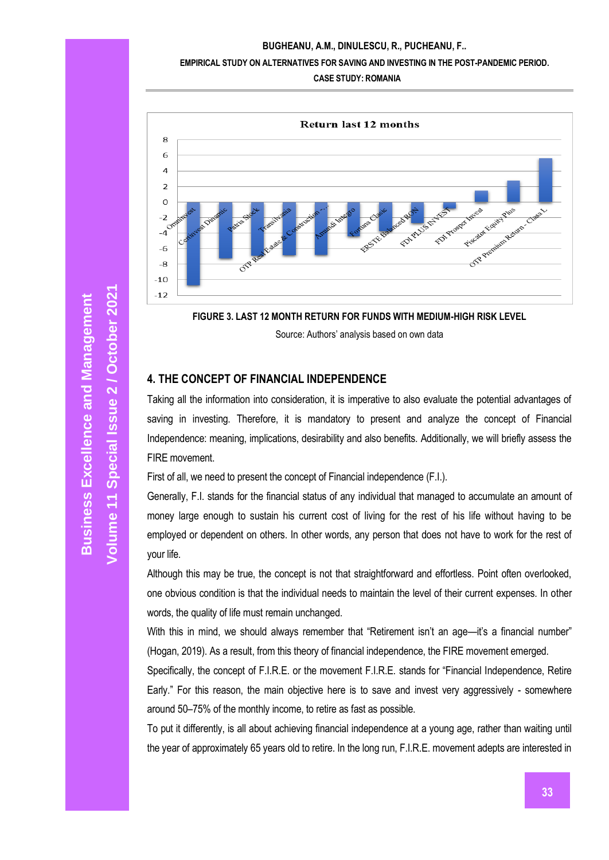#### **EMPIRICAL STUDY ON ALTERNATIVES FOR SAVING AND INVESTING IN THE POST-PANDEMIC PERIOD.**

**CASE STUDY: ROMANIA**



**FIGURE 3. LAST 12 MONTH RETURN FOR FUNDS WITH MEDIUM-HIGH RISK LEVEL**

Source: Authors' analysis based on own data

# **4. THE CONCEPT OF FINANCIAL INDEPENDENCE**

Taking all the information into consideration, it is imperative to also evaluate the potential advantages of saving in investing. Therefore, it is mandatory to present and analyze the concept of Financial Independence: meaning, implications, desirability and also benefits. Additionally, we will briefly assess the FIRE movement.

First of all, we need to present the concept of Financial independence (F.I.).

Generally, F.I. stands for the financial status of any individual that managed to accumulate an amount of money large enough to sustain his current cost of living for the rest of his life without having to be employed or dependent on others. In other words, any person that does not have to work for the rest of your life.

Although this may be true, the concept is not that straightforward and effortless. Point often overlooked, one obvious condition is that the individual needs to maintain the level of their current expenses. In other words, the quality of life must remain unchanged.

With this in mind, we should always remember that "Retirement isn't an age—it's a financial number" (Hogan, 2019). As a result, from this theory of financial independence, the FIRE movement emerged.

Specifically, the concept of F.I.R.E. or the movement F.I.R.E. stands for "Financial Independence, Retire Early." For this reason, the main objective here is to save and invest very aggressively - somewhere around 50–75% of the monthly income, to retire as fast as possible.

To put it differently, is all about achieving financial independence at a young age, rather than waiting until the year of approximately 65 years old to retire. In the long run, F.I.R.E. movement adepts are interested in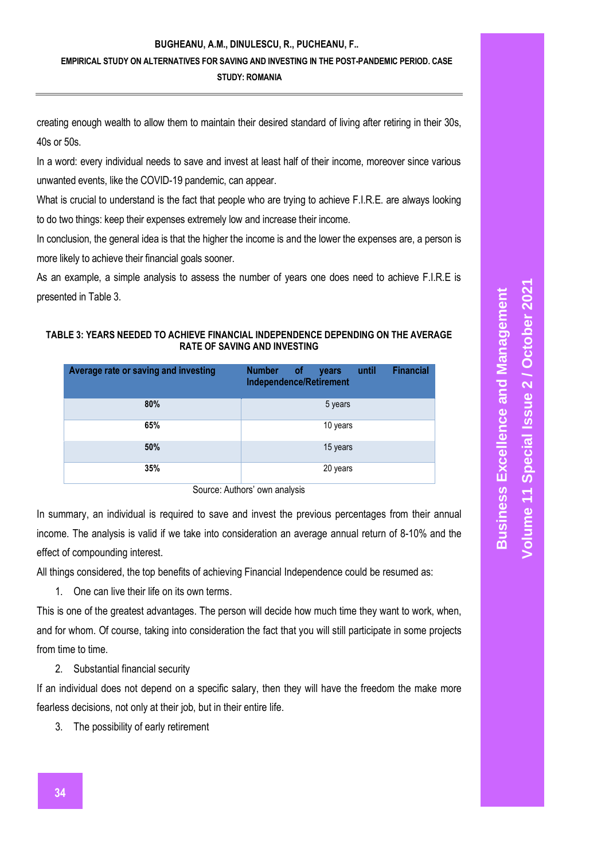### **EMPIRICAL STUDY ON ALTERNATIVES FOR SAVING AND INVESTING IN THE POST-PANDEMIC PERIOD. CASE**

**STUDY: ROMANIA**

creating enough wealth to allow them to maintain their desired standard of living after retiring in their 30s, 40s or 50s.

In a word: every individual needs to save and invest at least half of their income, moreover since various unwanted events, like the COVID-19 pandemic, can appear.

What is crucial to understand is the fact that people who are trying to achieve F.I.R.E. are always looking to do two things: keep their expenses extremely low and increase their income.

In conclusion, the general idea is that the higher the income is and the lower the expenses are, a person is more likely to achieve their financial goals sooner.

As an example, a simple analysis to assess the number of years one does need to achieve F.I.R.E is presented in Table 3.

### **TABLE 3: YEARS NEEDED TO ACHIEVE FINANCIAL INDEPENDENCE DEPENDING ON THE AVERAGE RATE OF SAVING AND INVESTING**

| Average rate or saving and investing | <b>Financial</b><br><b>Number</b><br><b>of</b><br>until<br>years<br>Independence/Retirement |
|--------------------------------------|---------------------------------------------------------------------------------------------|
| 80%                                  | 5 years                                                                                     |
| 65%                                  | 10 years                                                                                    |
| 50%                                  | 15 years                                                                                    |
| 35%                                  | 20 years                                                                                    |

Source: Authors' own analysis

In summary, an individual is required to save and invest the previous percentages from their annual income. The analysis is valid if we take into consideration an average annual return of 8-10% and the effect of compounding interest.

All things considered, the top benefits of achieving Financial Independence could be resumed as:

1. One can live their life on its own terms.

This is one of the greatest advantages. The person will decide how much time they want to work, when, and for whom. Of course, taking into consideration the fact that you will still participate in some projects from time to time.

2. Substantial financial security

If an individual does not depend on a specific salary, then they will have the freedom the make more fearless decisions, not only at their job, but in their entire life.

3. The possibility of early retirement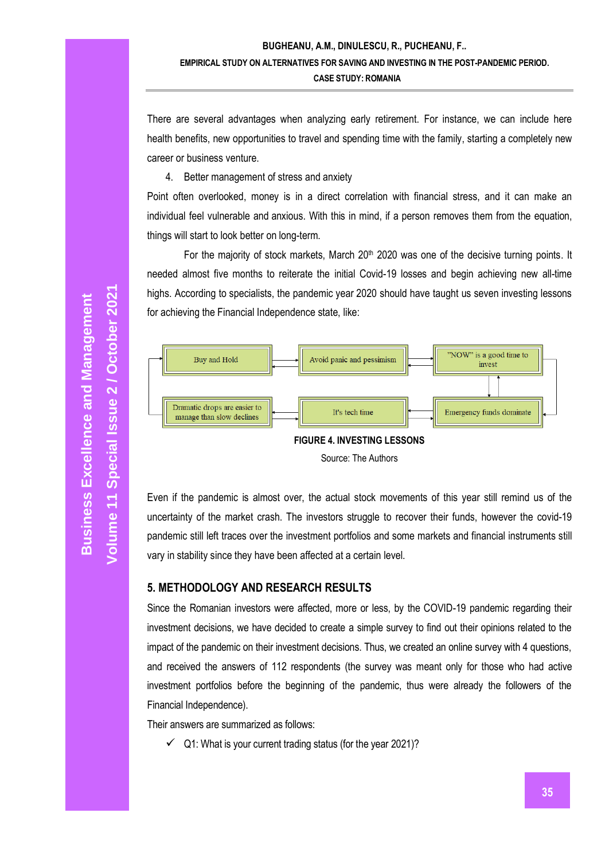There are several advantages when analyzing early retirement. For instance, we can include here health benefits, new opportunities to travel and spending time with the family, starting a completely new career or business venture.

4. Better management of stress and anxiety

Point often overlooked, money is in a direct correlation with financial stress, and it can make an individual feel vulnerable and anxious. With this in mind, if a person removes them from the equation, things will start to look better on long-term.

For the majority of stock markets, March  $20<sup>th</sup>$  2020 was one of the decisive turning points. It needed almost five months to reiterate the initial Covid-19 losses and begin achieving new all-time highs. According to specialists, the pandemic year 2020 should have taught us seven investing lessons for achieving the Financial Independence state, like:



Even if the pandemic is almost over, the actual stock movements of this year still remind us of the uncertainty of the market crash. The investors struggle to recover their funds, however the covid-19 pandemic still left traces over the investment portfolios and some markets and financial instruments still vary in stability since they have been affected at a certain level.

# **5. METHODOLOGY AND RESEARCH RESULTS**

Since the Romanian investors were affected, more or less, by the COVID-19 pandemic regarding their investment decisions, we have decided to create a simple survey to find out their opinions related to the impact of the pandemic on their investment decisions. Thus, we created an online survey with 4 questions, and received the answers of 112 respondents (the survey was meant only for those who had active investment portfolios before the beginning of the pandemic, thus were already the followers of the Financial Independence).

Their answers are summarized as follows:

 $\checkmark$  Q1: What is your current trading status (for the year 2021)?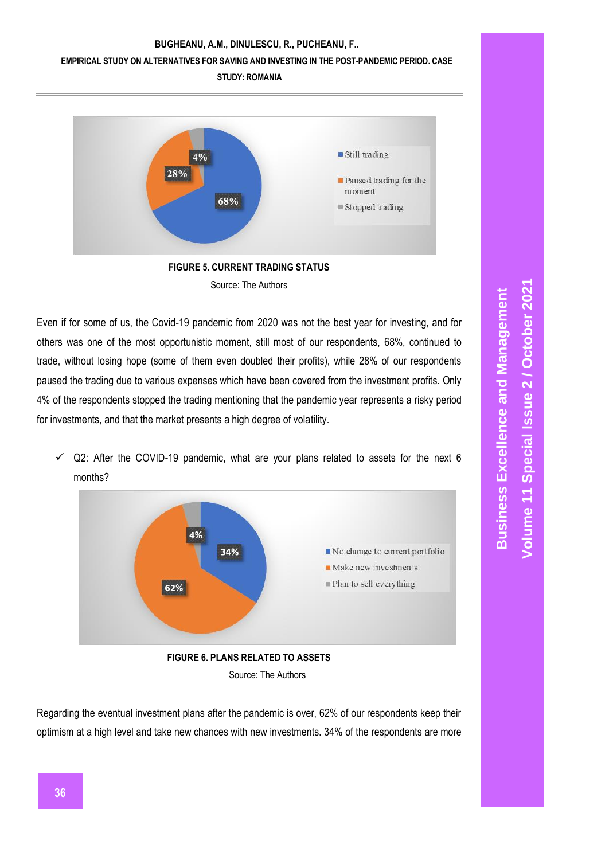#### **EMPIRICAL STUDY ON ALTERNATIVES FOR SAVING AND INVESTING IN THE POST-PANDEMIC PERIOD. CASE**

**STUDY: ROMANIA**



**FIGURE 5. CURRENT TRADING STATUS** Source: The Authors

Even if for some of us, the Covid-19 pandemic from 2020 was not the best year for investing, and for others was one of the most opportunistic moment, still most of our respondents, 68%, continued to trade, without losing hope (some of them even doubled their profits), while 28% of our respondents paused the trading due to various expenses which have been covered from the investment profits. Only 4% of the respondents stopped the trading mentioning that the pandemic year represents a risky period for investments, and that the market presents a high degree of volatility.

 $\checkmark$  Q2: After the COVID-19 pandemic, what are your plans related to assets for the next 6 months?



Regarding the eventual investment plans after the pandemic is over, 62% of our respondents keep their optimism at a high level and take new chances with new investments. 34% of the respondents are more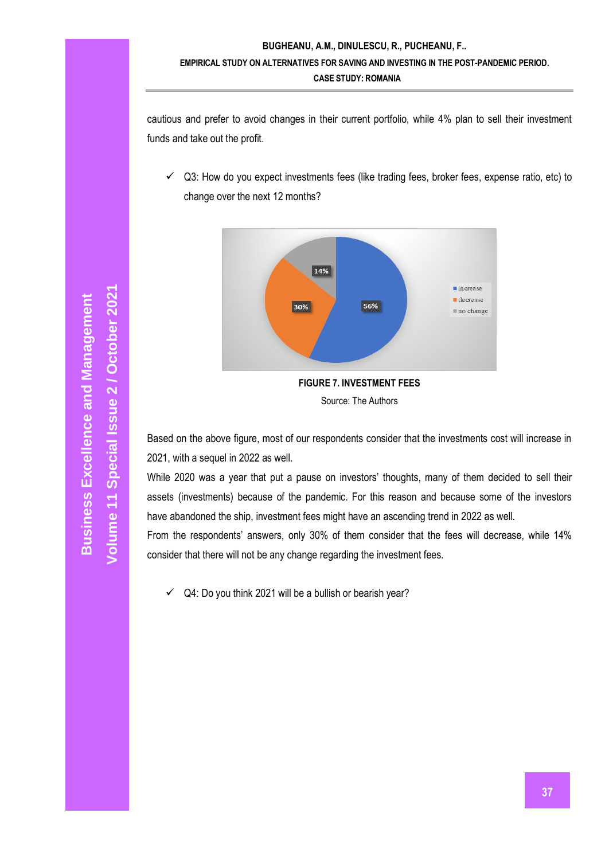cautious and prefer to avoid changes in their current portfolio, while 4% plan to sell their investment funds and take out the profit.

 $\checkmark$  Q3: How do you expect investments fees (like trading fees, broker fees, expense ratio, etc) to change over the next 12 months?



Based on the above figure, most of our respondents consider that the investments cost will increase in 2021, with a sequel in 2022 as well.

While 2020 was a year that put a pause on investors' thoughts, many of them decided to sell their assets (investments) because of the pandemic. For this reason and because some of the investors have abandoned the ship, investment fees might have an ascending trend in 2022 as well.

From the respondents' answers, only 30% of them consider that the fees will decrease, while 14% consider that there will not be any change regarding the investment fees.

Q4: Do you think 2021 will be a bullish or bearish year?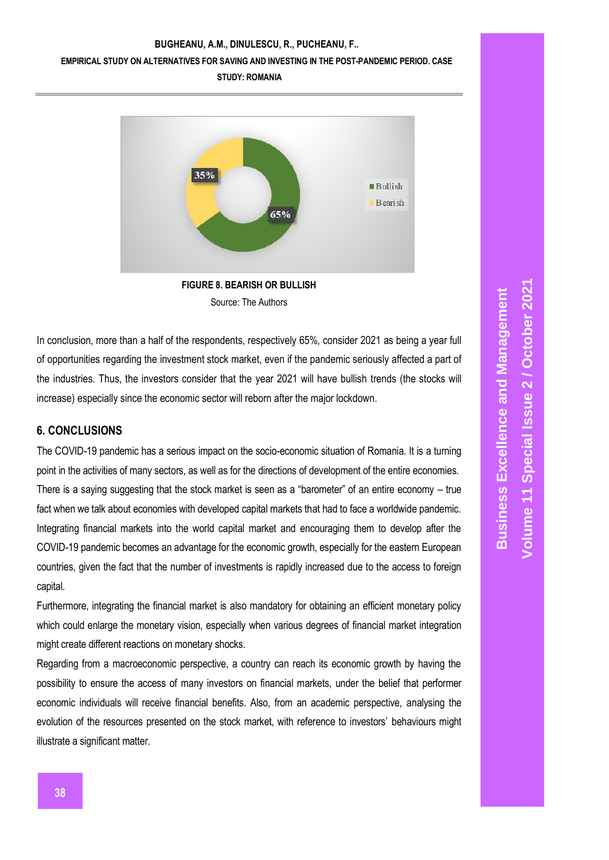#### **EMPIRICAL STUDY ON ALTERNATIVES FOR SAVING AND INVESTING IN THE POST-PANDEMIC PERIOD. CASE**

**STUDY: ROMANIA**



Source: The Authors

In conclusion, more than a half of the respondents, respectively 65%, consider 2021 as being a year full of opportunities regarding the investment stock market, even if the pandemic seriously affected a part of the industries. Thus, the investors consider that the year 2021 will have bullish trends (the stocks will increase) especially since the economic sector will reborn after the major lockdown.

# **6. CONCLUSIONS**

The COVID-19 pandemic has a serious impact on the socio-economic situation of Romania. It is a turning point in the activities of many sectors, as well as for the directions of development of the entire economies. There is a saying suggesting that the stock market is seen as a "barometer" of an entire economy – true fact when we talk about economies with developed capital markets that had to face a worldwide pandemic. Integrating financial markets into the world capital market and encouraging them to develop after the COVID-19 pandemic becomes an advantage for the economic growth, especially for the eastern European countries, given the fact that the number of investments is rapidly increased due to the access to foreign capital.

Furthermore, integrating the financial market is also mandatory for obtaining an efficient monetary policy which could enlarge the monetary vision, especially when various degrees of financial market integration might create different reactions on monetary shocks.

Regarding from a macroeconomic perspective, a country can reach its economic growth by having the possibility to ensure the access of many investors on financial markets, under the belief that performer economic individuals will receive financial benefits. Also, from an academic perspective, analysing the evolution of the resources presented on the stock market, with reference to investors' behaviours might illustrate a significant matter.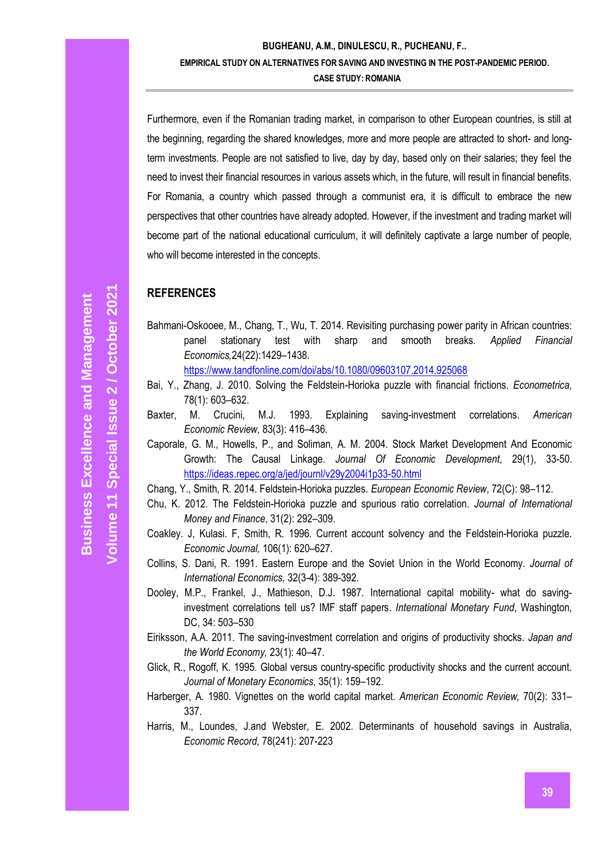Furthermore, even if the Romanian trading market, in comparison to other European countries, is still at the beginning, regarding the shared knowledges, more and more people are attracted to short- and longterm investments. People are not satisfied to live, day by day, based only on their salaries; they feel the need to invest their financial resources in various assets which, in the future, will result in financial benefits. For Romania, a country which passed through a communist era, it is difficult to embrace the new perspectives that other countries have already adopted. However, if the investment and trading market will become part of the national educational curriculum, it will definitely captivate a large number of people, who will become interested in the concepts.

### **REFERENCES**

Bahmani-Oskooee, M., Chang, T., Wu, T. 2014. Revisiting purchasing power parity in African countries: panel stationary test with sharp and smooth breaks. *Applied Financial Economics,*24(22):1429–1438.

<https://www.tandfonline.com/doi/abs/10.1080/09603107.2014.925068>

- Bai, Y., Zhang, J. 2010. Solving the Feldstein-Horioka puzzle with financial frictions. *Econometrica,* 78(1): 603–632.
- Baxter, M. Crucini, M.J. 1993. Explaining saving-investment correlations. *American Economic Review,* 83(3): 416–436.
- Caporale, G. M., Howells, P., and Soliman, A. M. 2004. Stock Market Development And Economic Growth: The Causal Linkage. *Journal Of Economic Development*, 29(1), 33-50. <https://ideas.repec.org/a/jed/journl/v29y2004i1p33-50.html>

Chang, Y., Smith, R. 2014. Feldstein-Horioka puzzles. *European Economic Review*, 72(C): 98–112.

- Chu, K. 2012. The Feldstein-Horioka puzzle and spurious ratio correlation. *Journal of International Money and Finance*, 31(2): 292–309.
- Coakley. J, Kulasi. F, Smith, R. 1996. Current account solvency and the Feldstein-Horioka puzzle. *Economic Journal,* 106(1): 620–627.
- Collins, S. Dani, R. 1991. Eastern Europe and the Soviet Union in the World Economy. *Journal of International Economics,* 32(3-4): 389-392.
- Dooley, M.P., Frankel, J., Mathieson, D.J. 1987. International capital mobility- what do savinginvestment correlations tell us? IMF staff papers. *International Monetary Fund*, Washington, DC, 34: 503–530
- Eiriksson, A.A. 2011. The saving-investment correlation and origins of productivity shocks. *Japan and the World Economy,* 23(1): 40–47.
- Glick, R., Rogoff, K. 1995. Global versus country-specific productivity shocks and the current account. *Journal of Monetary Economics*, 35(1): 159–192.
- Harberger, A. 1980. Vignettes on the world capital market*. American Economic Review,* 70(2): 331– 337.
- Harris, M., Loundes, J.and Webster, E. 2002. Determinants of household savings in Australia, *Economic Record*, 78(241): 207-223